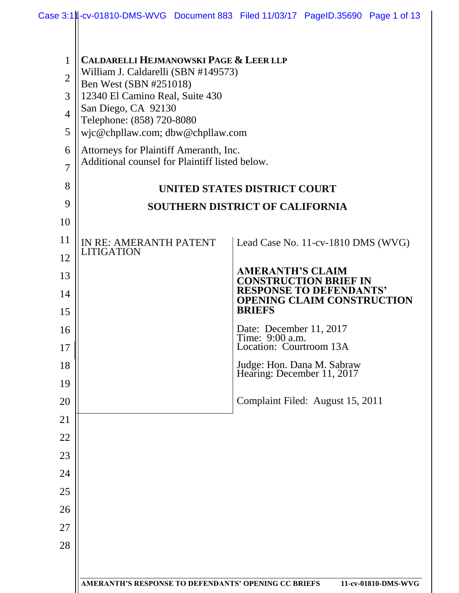| 1              | <b>CALDARELLI HEJMANOWSKI PAGE &amp; LEER LLP</b>                                |                                                                     |  |  |  |  |
|----------------|----------------------------------------------------------------------------------|---------------------------------------------------------------------|--|--|--|--|
| $\overline{2}$ | William J. Caldarelli (SBN #149573)                                              |                                                                     |  |  |  |  |
| 3              | Ben West (SBN #251018)<br>12340 El Camino Real, Suite 430<br>San Diego, CA 92130 |                                                                     |  |  |  |  |
| $\overline{4}$ |                                                                                  |                                                                     |  |  |  |  |
| 5              | Telephone: (858) 720-8080<br>wjc@chpllaw.com; dbw@chpllaw.com                    |                                                                     |  |  |  |  |
| 6              | Attorneys for Plaintiff Ameranth, Inc.                                           |                                                                     |  |  |  |  |
| $\overline{7}$ | Additional counsel for Plaintiff listed below.                                   |                                                                     |  |  |  |  |
| 8              | <b>UNITED STATES DISTRICT COURT</b>                                              |                                                                     |  |  |  |  |
| 9              | SOUTHERN DISTRICT OF CALIFORNIA                                                  |                                                                     |  |  |  |  |
| 10             |                                                                                  |                                                                     |  |  |  |  |
| 11             | IN RE: AMERANTH PATENT                                                           | Lead Case No. 11-cv-1810 DMS (WVG)                                  |  |  |  |  |
| 12             | <b>LITIGATION</b>                                                                |                                                                     |  |  |  |  |
| 13             |                                                                                  | <b>AMERANTH'S CLAIM</b><br><b>CONSTRUCTION BRIEF IN</b>             |  |  |  |  |
| 14             |                                                                                  | <b>RESPONSE TO DEFENDANTS'</b><br><b>OPENING CLAIM CONSTRUCTION</b> |  |  |  |  |
| 15             |                                                                                  | <b>BRIEFS</b>                                                       |  |  |  |  |
| 16             |                                                                                  | Date: December 11, 2017<br>Time: 9:00 a.m.                          |  |  |  |  |
| 17             |                                                                                  | Location: Courtroom 13A                                             |  |  |  |  |
| 18             |                                                                                  | Judge: Hon. Dana M. Sabraw<br>Hearing: December 11, 2017            |  |  |  |  |
| 19             |                                                                                  |                                                                     |  |  |  |  |
| 20             |                                                                                  | Complaint Filed: August 15, 2011                                    |  |  |  |  |
| 21             |                                                                                  |                                                                     |  |  |  |  |
| 22             |                                                                                  |                                                                     |  |  |  |  |
| 23             |                                                                                  |                                                                     |  |  |  |  |
| 24             |                                                                                  |                                                                     |  |  |  |  |
| 25             |                                                                                  |                                                                     |  |  |  |  |
| 26             |                                                                                  |                                                                     |  |  |  |  |
| 27             |                                                                                  |                                                                     |  |  |  |  |
| 28             |                                                                                  |                                                                     |  |  |  |  |
|                |                                                                                  |                                                                     |  |  |  |  |
|                | AMERANTH'S RESPONSE TO DEFENDANTS' OPENING CC BRIEFS<br>11-cv-01810-DMS-WVG      |                                                                     |  |  |  |  |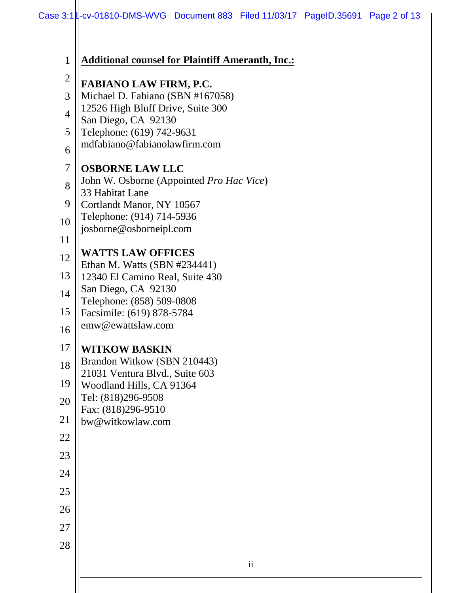| $\mathbf{1}$   | <b>Additional counsel for Plaintiff Ameranth, Inc.:</b>    |  |
|----------------|------------------------------------------------------------|--|
| $\overline{2}$ | <b>FABIANO LAW FIRM, P.C.</b>                              |  |
| 3              | Michael D. Fabiano (SBN #167058)                           |  |
| $\overline{4}$ | 12526 High Bluff Drive, Suite 300                          |  |
| 5              | San Diego, CA 92130<br>Telephone: (619) 742-9631           |  |
| 6              | mdfabiano@fabianolawfirm.com                               |  |
| 7              | <b>OSBORNE LAW LLC</b>                                     |  |
| 8              | John W. Osborne (Appointed Pro Hac Vice)                   |  |
| 9              | 33 Habitat Lane<br>Cortlandt Manor, NY 10567               |  |
| 10             | Telephone: (914) 714-5936                                  |  |
| 11             | josborne@osborneipl.com                                    |  |
|                | <b>WATTS LAW OFFICES</b>                                   |  |
| 12             | Ethan M. Watts (SBN #234441)                               |  |
| 13             | 12340 El Camino Real, Suite 430                            |  |
| 14             | San Diego, CA 92130<br>Telephone: (858) 509-0808           |  |
| 15             | Facsimile: (619) 878-5784                                  |  |
| 16             | emw@ewattslaw.com                                          |  |
| 17             | <b>WITKOW BASKIN</b>                                       |  |
| 18             | Brandon Witkow (SBN 210443)                                |  |
| 19             | 21031 Ventura Blvd., Suite 603<br>Woodland Hills, CA 91364 |  |
| 20             | Tel: (818)296-9508                                         |  |
|                | Fax: (818)296-9510                                         |  |
| 21             | bw@witkowlaw.com                                           |  |
| 22             |                                                            |  |
| 23             |                                                            |  |
| 24             |                                                            |  |
| 25             |                                                            |  |
| 26             |                                                            |  |
| 27             |                                                            |  |
| 28             |                                                            |  |
|                | $\overline{\textbf{ii}}$                                   |  |
|                |                                                            |  |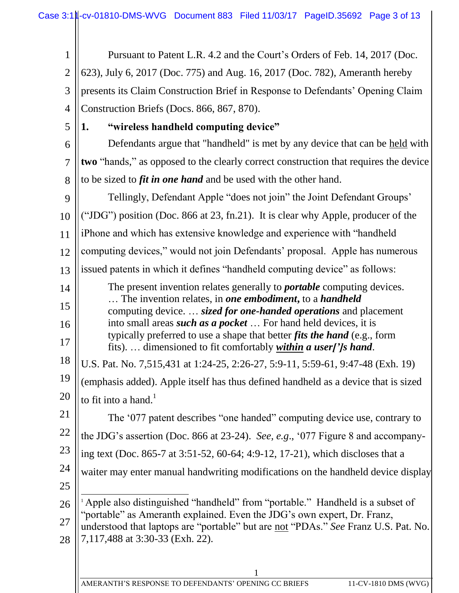| 1              | Pursuant to Patent L.R. 4.2 and the Court's Orders of Feb. 14, 2017 (Doc.                                                                                            |  |  |  |  |
|----------------|----------------------------------------------------------------------------------------------------------------------------------------------------------------------|--|--|--|--|
| $\mathfrak{2}$ | 623), July 6, 2017 (Doc. 775) and Aug. 16, 2017 (Doc. 782), Ameranth hereby                                                                                          |  |  |  |  |
| 3              | presents its Claim Construction Brief in Response to Defendants' Opening Claim                                                                                       |  |  |  |  |
| $\overline{4}$ | Construction Briefs (Docs. 866, 867, 870).                                                                                                                           |  |  |  |  |
| 5              | "wireless handheld computing device"<br>1.                                                                                                                           |  |  |  |  |
| 6              | Defendants argue that "handheld" is met by any device that can be held with                                                                                          |  |  |  |  |
| $\overline{7}$ | two "hands," as opposed to the clearly correct construction that requires the device                                                                                 |  |  |  |  |
| 8              | to be sized to <i>fit in one hand</i> and be used with the other hand.                                                                                               |  |  |  |  |
| 9              | Tellingly, Defendant Apple "does not join" the Joint Defendant Groups'                                                                                               |  |  |  |  |
| 10             | ("JDG") position (Doc. 866 at 23, fn.21). It is clear why Apple, producer of the                                                                                     |  |  |  |  |
| 11             | iPhone and which has extensive knowledge and experience with "handheld                                                                                               |  |  |  |  |
| 12             | computing devices," would not join Defendants' proposal. Apple has numerous                                                                                          |  |  |  |  |
| 13             | issued patents in which it defines "handheld computing device" as follows:                                                                                           |  |  |  |  |
| 14             | The present invention relates generally to <i>portable</i> computing devices.                                                                                        |  |  |  |  |
| 15             | The invention relates, in one embodiment, to a handheld<br>computing device.  sized for one-handed operations and placement                                          |  |  |  |  |
| 16             | into small areas <i>such as a pocket</i> For hand held devices, it is                                                                                                |  |  |  |  |
| 17             | typically preferred to use a shape that better <i>fits the hand</i> (e.g., form<br>fits) dimensioned to fit comfortably <i>within a user[']s hand</i> .              |  |  |  |  |
| 18             | U.S. Pat. No. 7,515,431 at 1:24-25, 2:26-27, 5:9-11, 5:59-61, 9:47-48 (Exh. 19)                                                                                      |  |  |  |  |
| 19             | (emphasis added). Apple itself has thus defined handheld as a device that is sized                                                                                   |  |  |  |  |
| 20             | to fit into a hand. <sup>1</sup>                                                                                                                                     |  |  |  |  |
| 21             | The '077 patent describes "one handed" computing device use, contrary to                                                                                             |  |  |  |  |
| 22             | the JDG's assertion (Doc. 866 at 23-24). See, e.g., '077 Figure 8 and accompany-                                                                                     |  |  |  |  |
| 23             | ing text (Doc. 865-7 at 3:51-52, 60-64; 4:9-12, 17-21), which discloses that a                                                                                       |  |  |  |  |
| 24             | waiter may enter manual handwriting modifications on the handheld device display                                                                                     |  |  |  |  |
| 25             |                                                                                                                                                                      |  |  |  |  |
| 26             | <sup>1</sup> Apple also distinguished "handheld" from "portable." Handheld is a subset of                                                                            |  |  |  |  |
| 27             | "portable" as Ameranth explained. Even the JDG's own expert, Dr. Franz,<br>understood that laptops are "portable" but are <u>not</u> "PDAs." See Franz U.S. Pat. No. |  |  |  |  |
| 28             | 7,117,488 at 3:30-33 (Exh. 22).                                                                                                                                      |  |  |  |  |
|                |                                                                                                                                                                      |  |  |  |  |
|                |                                                                                                                                                                      |  |  |  |  |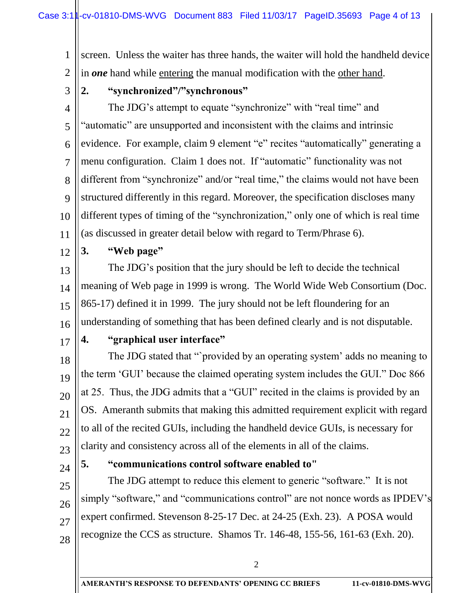1 2 screen. Unless the waiter has three hands, the waiter will hold the handheld device in *one* hand while entering the manual modification with the other hand.

3

## **2. "synchronized"/"synchronous"**

4 5 6 7 8 9 10 11 The JDG's attempt to equate "synchronize" with "real time" and "automatic" are unsupported and inconsistent with the claims and intrinsic evidence. For example, claim 9 element "e" recites "automatically" generating a menu configuration. Claim 1 does not. If "automatic" functionality was not different from "synchronize" and/or "real time," the claims would not have been structured differently in this regard. Moreover, the specification discloses many different types of timing of the "synchronization," only one of which is real time (as discussed in greater detail below with regard to Term/Phrase 6).

12

## **3. "Web page"**

13 14 15 16 The JDG's position that the jury should be left to decide the technical meaning of Web page in 1999 is wrong. The World Wide Web Consortium (Doc. 865-17) defined it in 1999. The jury should not be left floundering for an understanding of something that has been defined clearly and is not disputable.

17

## **4. "graphical user interface"**

18 19 20 21 22 23 The JDG stated that "`provided by an operating system' adds no meaning to the term 'GUI' because the claimed operating system includes the GUI." Doc 866 at 25. Thus, the JDG admits that a "GUI" recited in the claims is provided by an OS. Ameranth submits that making this admitted requirement explicit with regard to all of the recited GUIs, including the handheld device GUIs, is necessary for clarity and consistency across all of the elements in all of the claims.

24

25

26

27

28

#### **5. "communications control software enabled to"**

The JDG attempt to reduce this element to generic "software." It is not simply "software," and "communications control" are not nonce words as IPDEV's expert confirmed. Stevenson 8-25-17 Dec. at 24-25 (Exh. 23). A POSA would recognize the CCS as structure. Shamos Tr. 146-48, 155-56, 161-63 (Exh. 20).

2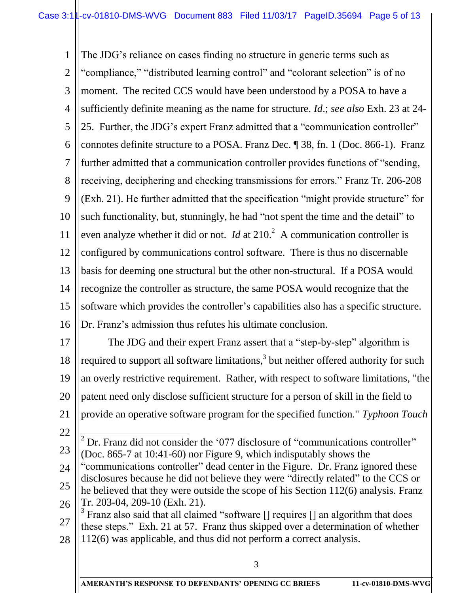1 2 3 4 5 6 7 8 9 10 11 12 13 14 15 16 The JDG's reliance on cases finding no structure in generic terms such as "compliance," "distributed learning control" and "colorant selection" is of no moment. The recited CCS would have been understood by a POSA to have a sufficiently definite meaning as the name for structure. *Id*.; *see also* Exh. 23 at 24- 25. Further, the JDG's expert Franz admitted that a "communication controller" connotes definite structure to a POSA. Franz Dec. ¶ 38, fn. 1 (Doc. 866-1). Franz further admitted that a communication controller provides functions of "sending, receiving, deciphering and checking transmissions for errors." Franz Tr. 206-208 (Exh. 21). He further admitted that the specification "might provide structure" for such functionality, but, stunningly, he had "not spent the time and the detail" to even analyze whether it did or not. *Id* at  $210<sup>2</sup>$  A communication controller is configured by communications control software. There is thus no discernable basis for deeming one structural but the other non-structural. If a POSA would recognize the controller as structure, the same POSA would recognize that the software which provides the controller's capabilities also has a specific structure. Dr. Franz's admission thus refutes his ultimate conclusion.

17 18 19 20 21 22 The JDG and their expert Franz assert that a "step-by-step" algorithm is required to support all software limitations,<sup>3</sup> but neither offered authority for such an overly restrictive requirement. Rather, with respect to software limitations, "the patent need only disclose sufficient structure for a person of skill in the field to provide an operative software program for the specified function." *Typhoon Touch* 

- 23  $\overline{a}$  $2^2$  Dr. Franz did not consider the '077 disclosure of "communications controller" (Doc. 865-7 at 10:41-60) nor Figure 9, which indisputably shows the
- 24 25 26 "communications controller" dead center in the Figure. Dr. Franz ignored these disclosures because he did not believe they were "directly related" to the CCS or he believed that they were outside the scope of his Section 112(6) analysis. Franz Tr. 203-04, 209-10 (Exh. 21).
- 27 28  $3$  Franz also said that all claimed "software [] requires [] an algorithm that does these steps." Exh. 21 at 57. Franz thus skipped over a determination of whether 112(6) was applicable, and thus did not perform a correct analysis.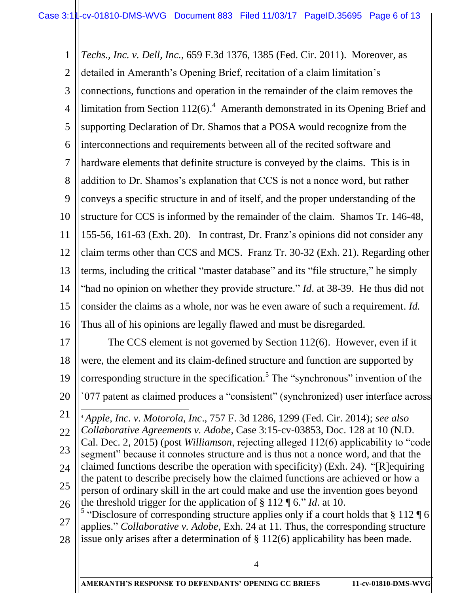1 2 3 4 5 6 7 8 9 10 11 12 13 14 15 16 17 18 19 20 21 *Techs., Inc. v. Dell, Inc.*, 659 F.3d 1376, 1385 (Fed. Cir. 2011). Moreover, as detailed in Ameranth's Opening Brief, recitation of a claim limitation's connections, functions and operation in the remainder of the claim removes the limitation from Section  $112(6)$ .<sup>4</sup> Ameranth demonstrated in its Opening Brief and supporting Declaration of Dr. Shamos that a POSA would recognize from the interconnections and requirements between all of the recited software and hardware elements that definite structure is conveyed by the claims. This is in addition to Dr. Shamos's explanation that CCS is not a nonce word, but rather conveys a specific structure in and of itself, and the proper understanding of the structure for CCS is informed by the remainder of the claim. Shamos Tr. 146-48, 155-56, 161-63 (Exh. 20). In contrast, Dr. Franz's opinions did not consider any claim terms other than CCS and MCS. Franz Tr. 30-32 (Exh. 21). Regarding other terms, including the critical "master database" and its "file structure," he simply "had no opinion on whether they provide structure." *Id*. at 38-39. He thus did not consider the claims as a whole, nor was he even aware of such a requirement. *Id.* Thus all of his opinions are legally flawed and must be disregarded. The CCS element is not governed by Section 112(6). However, even if it were, the element and its claim-defined structure and function are supported by corresponding structure in the specification.<sup>5</sup> The "synchronous" invention of the `077 patent as claimed produces a "consistent" (synchronized) user interface across  $\overline{a}$ <sup>4</sup> *Apple, Inc. v. Motorola, Inc*., 757 F. 3d 1286, 1299 (Fed. Cir. 2014); *see also* 

22 23 24 25 26 *Collaborative Agreements v. Adobe*, Case 3:15-cv-03853, Doc. 128 at 10 (N.D. Cal. Dec. 2, 2015) (post *Williamson*, rejecting alleged 112(6) applicability to "code segment" because it connotes structure and is thus not a nonce word, and that the claimed functions describe the operation with specificity) (Exh. 24). "[R]equiring the patent to describe precisely how the claimed functions are achieved or how a person of ordinary skill in the art could make and use the invention goes beyond the threshold trigger for the application of § 112 ¶ 6." *Id*. at 10.

27 28 <sup>5</sup> "Disclosure of corresponding structure applies only if a court holds that § 112  $\P$  6 applies." *Collaborative v. Adobe*, Exh. 24 at 11. Thus, the corresponding structure issue only arises after a determination of § 112(6) applicability has been made.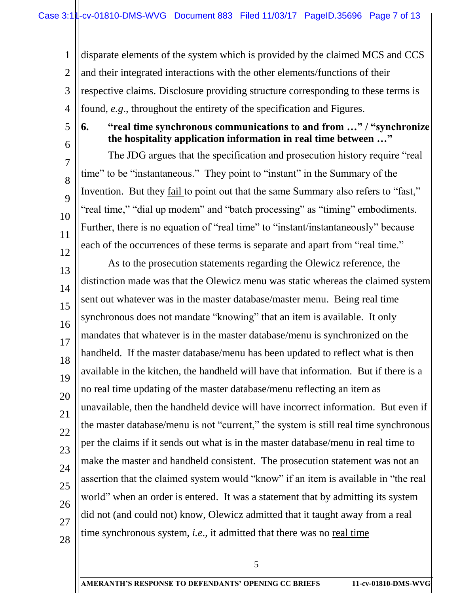1 2 3 4 disparate elements of the system which is provided by the claimed MCS and CCS and their integrated interactions with the other elements/functions of their respective claims. Disclosure providing structure corresponding to these terms is found, *e.g*., throughout the entirety of the specification and Figures.

5 6

7

8

9

10

11

12

## **6. "real time synchronous communications to and from …" / "synchronize the hospitality application information in real time between …"**

The JDG argues that the specification and prosecution history require "real time" to be "instantaneous." They point to "instant" in the Summary of the Invention. But they fail to point out that the same Summary also refers to "fast," "real time," "dial up modem" and "batch processing" as "timing" embodiments. Further, there is no equation of "real time" to "instant/instantaneously" because each of the occurrences of these terms is separate and apart from "real time."

13 14 15 16 17 18 19 20 21 22 23 24 25 26 27 28 As to the prosecution statements regarding the Olewicz reference, the distinction made was that the Olewicz menu was static whereas the claimed system sent out whatever was in the master database/master menu. Being real time synchronous does not mandate "knowing" that an item is available. It only mandates that whatever is in the master database/menu is synchronized on the handheld. If the master database/menu has been updated to reflect what is then available in the kitchen, the handheld will have that information. But if there is a no real time updating of the master database/menu reflecting an item as unavailable, then the handheld device will have incorrect information. But even if the master database/menu is not "current," the system is still real time synchronous per the claims if it sends out what is in the master database/menu in real time to make the master and handheld consistent. The prosecution statement was not an assertion that the claimed system would "know" if an item is available in "the real world" when an order is entered. It was a statement that by admitting its system did not (and could not) know, Olewicz admitted that it taught away from a real time synchronous system, *i.e*., it admitted that there was no real time

5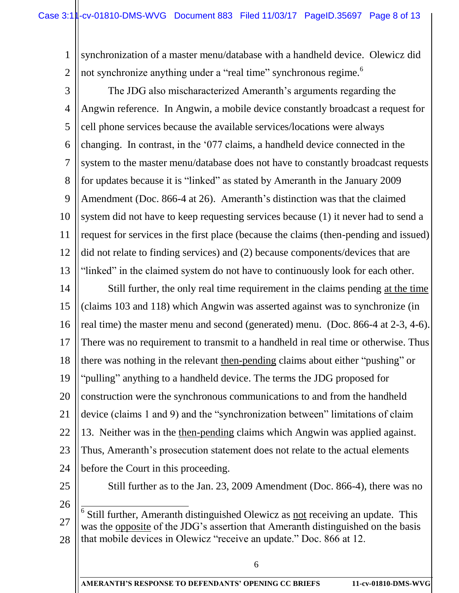1 2 synchronization of a master menu/database with a handheld device. Olewicz did not synchronize anything under a "real time" synchronous regime.<sup>6</sup>

3 4 5 6 7 8 9 10 11 12 13 The JDG also mischaracterized Ameranth's arguments regarding the Angwin reference. In Angwin, a mobile device constantly broadcast a request for cell phone services because the available services/locations were always changing. In contrast, in the '077 claims, a handheld device connected in the system to the master menu/database does not have to constantly broadcast requests for updates because it is "linked" as stated by Ameranth in the January 2009 Amendment (Doc. 866-4 at 26). Ameranth's distinction was that the claimed system did not have to keep requesting services because (1) it never had to send a request for services in the first place (because the claims (then-pending and issued) did not relate to finding services) and (2) because components/devices that are "linked" in the claimed system do not have to continuously look for each other.

14 15 16 17 18 19 20 21 22 23  $24$ Still further, the only real time requirement in the claims pending at the time (claims 103 and 118) which Angwin was asserted against was to synchronize (in real time) the master menu and second (generated) menu. (Doc. 866-4 at 2-3, 4-6). There was no requirement to transmit to a handheld in real time or otherwise. Thus there was nothing in the relevant then-pending claims about either "pushing" or "pulling" anything to a handheld device. The terms the JDG proposed for construction were the synchronous communications to and from the handheld device (claims 1 and 9) and the "synchronization between" limitations of claim 13. Neither was in the then-pending claims which Angwin was applied against. Thus, Ameranth's prosecution statement does not relate to the actual elements before the Court in this proceeding.

25

Still further as to the Jan. 23, 2009 Amendment (Doc. 866-4), there was no

26

27 28 <sup>6</sup> Still further, Ameranth distinguished Olewicz as <u>not</u> receiving an update. This was the opposite of the JDG's assertion that Ameranth distinguished on the basis that mobile devices in Olewicz "receive an update." Doc. 866 at 12.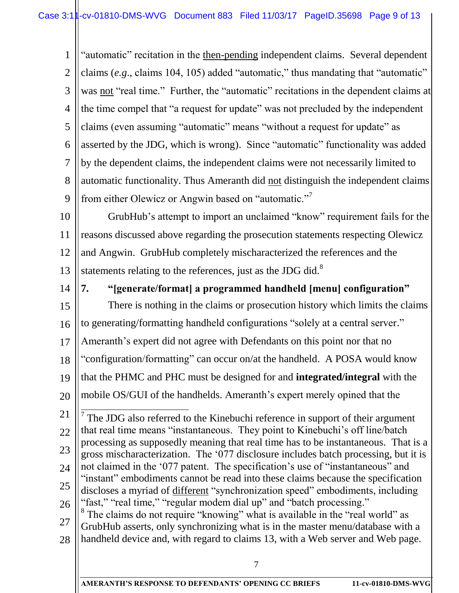1 2 3 4 5 6 7 8 9 "automatic" recitation in the then-pending independent claims. Several dependent claims (*e.g*., claims 104, 105) added "automatic," thus mandating that "automatic" was not "real time." Further, the "automatic" recitations in the dependent claims at the time compel that "a request for update" was not precluded by the independent claims (even assuming "automatic" means "without a request for update" as asserted by the JDG, which is wrong). Since "automatic" functionality was added by the dependent claims, the independent claims were not necessarily limited to automatic functionality. Thus Ameranth did not distinguish the independent claims from either Olewicz or Angwin based on "automatic."<sup>7</sup>

10 11 12 13 GrubHub's attempt to import an unclaimed "know" requirement fails for the reasons discussed above regarding the prosecution statements respecting Olewicz and Angwin. GrubHub completely mischaracterized the references and the statements relating to the references, just as the JDG did.<sup>8</sup>

14

# **7. "[generate/format] a programmed handheld [menu] configuration"**

15 16 17 18 There is nothing in the claims or prosecution history which limits the claims to generating/formatting handheld configurations "solely at a central server." Ameranth's expert did not agree with Defendants on this point nor that no "configuration/formatting" can occur on/at the handheld. A POSA would know

- 19 that the PHMC and PHC must be designed for and **integrated/integral** with the
- 20 mobile OS/GUI of the handhelds. Ameranth's expert merely opined that the

21 22 23 24 25 26 <sup>7</sup> The JDG also referred to the Kinebuchi reference in support of their argument that real time means "instantaneous. They point to Kinebuchi's off line/batch processing as supposedly meaning that real time has to be instantaneous. That is a gross mischaracterization. The '077 disclosure includes batch processing, but it is not claimed in the '077 patent. The specification's use of "instantaneous" and "instant" embodiments cannot be read into these claims because the specification discloses a myriad of different "synchronization speed" embodiments, including "fast," "real time," "regular modem dial up" and "batch processing." <sup>8</sup> The claims do not require "knowing" what is available in the "real world" as

27 28 GrubHub asserts, only synchronizing what is in the master menu/database with a handheld device and, with regard to claims 13, with a Web server and Web page.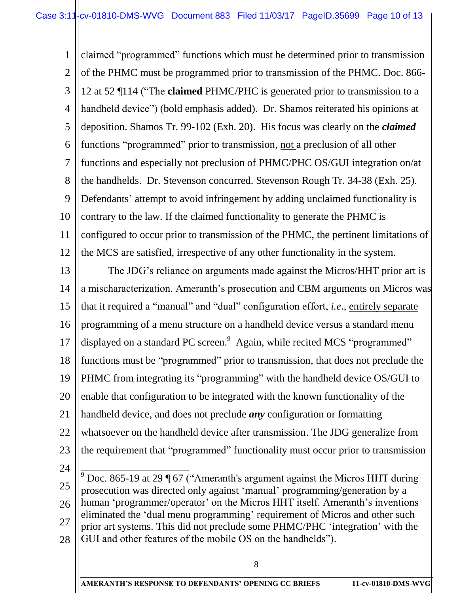1 2 3 4 5 6 7 8 9 10 11 12 claimed "programmed" functions which must be determined prior to transmission of the PHMC must be programmed prior to transmission of the PHMC. Doc. 866- 12 at 52 ¶114 ("The **claimed** PHMC/PHC is generated prior to transmission to a handheld device") (bold emphasis added). Dr. Shamos reiterated his opinions at deposition. Shamos Tr. 99-102 (Exh. 20). His focus was clearly on the *claimed* functions "programmed" prior to transmission, not a preclusion of all other functions and especially not preclusion of PHMC/PHC OS/GUI integration on/at the handhelds. Dr. Stevenson concurred. Stevenson Rough Tr. 34-38 (Exh. 25). Defendants' attempt to avoid infringement by adding unclaimed functionality is contrary to the law. If the claimed functionality to generate the PHMC is configured to occur prior to transmission of the PHMC, the pertinent limitations of the MCS are satisfied, irrespective of any other functionality in the system.

13 14 15 16 17 18 19 20 21 22 23 The JDG's reliance on arguments made against the Micros/HHT prior art is a mischaracterization. Ameranth's prosecution and CBM arguments on Micros was that it required a "manual" and "dual" configuration effort, *i.e*., entirely separate programming of a menu structure on a handheld device versus a standard menu displayed on a standard PC screen.<sup>9</sup> Again, while recited MCS "programmed" functions must be "programmed" prior to transmission, that does not preclude the PHMC from integrating its "programming" with the handheld device OS/GUI to enable that configuration to be integrated with the known functionality of the handheld device, and does not preclude *any* configuration or formatting whatsoever on the handheld device after transmission. The JDG generalize from the requirement that "programmed" functionality must occur prior to transmission

24

25 26 27 28  $\frac{1}{2}$  $9^9$  Doc. 865-19 at 29 ¶ 67 ("Ameranth's argument against the Micros HHT during prosecution was directed only against 'manual' programming/generation by a human 'programmer/operator' on the Micros HHT itself. Ameranth's inventions eliminated the 'dual menu programming' requirement of Micros and other such prior art systems. This did not preclude some PHMC/PHC 'integration' with the GUI and other features of the mobile OS on the handhelds").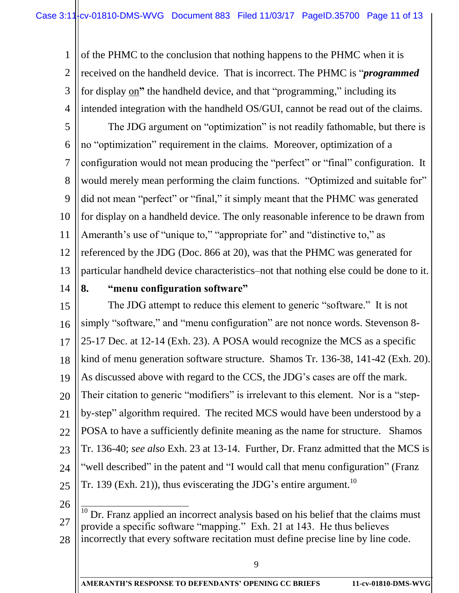1 2 3 4 of the PHMC to the conclusion that nothing happens to the PHMC when it is received on the handheld device. That is incorrect. The PHMC is "*programmed* for display on**"** the handheld device, and that "programming," including its intended integration with the handheld OS/GUI, cannot be read out of the claims.

5 6 7 8 9 10 11 12 13 The JDG argument on "optimization" is not readily fathomable, but there is no "optimization" requirement in the claims. Moreover, optimization of a configuration would not mean producing the "perfect" or "final" configuration. It would merely mean performing the claim functions. "Optimized and suitable for" did not mean "perfect" or "final," it simply meant that the PHMC was generated for display on a handheld device. The only reasonable inference to be drawn from Ameranth's use of "unique to," "appropriate for" and "distinctive to," as referenced by the JDG (Doc. 866 at 20), was that the PHMC was generated for particular handheld device characteristics–not that nothing else could be done to it.

14

#### **8. "menu configuration software"**

15 16 17 18 19 20 21 22 23 24 25 The JDG attempt to reduce this element to generic "software." It is not simply "software," and "menu configuration" are not nonce words. Stevenson 8-25-17 Dec. at 12-14 (Exh. 23). A POSA would recognize the MCS as a specific kind of menu generation software structure. Shamos Tr. 136-38, 141-42 (Exh. 20). As discussed above with regard to the CCS, the JDG's cases are off the mark. Their citation to generic "modifiers" is irrelevant to this element. Nor is a "stepby-step" algorithm required. The recited MCS would have been understood by a POSA to have a sufficiently definite meaning as the name for structure. Shamos Tr. 136-40; *see also* Exh. 23 at 13-14. Further, Dr. Franz admitted that the MCS is "well described" in the patent and "I would call that menu configuration" (Franz Tr. 139 (Exh. 21)), thus eviscerating the JDG's entire argument.<sup>10</sup>

26

27 28  $\frac{1}{1}$ Dr. Franz applied an incorrect analysis based on his belief that the claims must provide a specific software "mapping." Exh. 21 at 143. He thus believes incorrectly that every software recitation must define precise line by line code.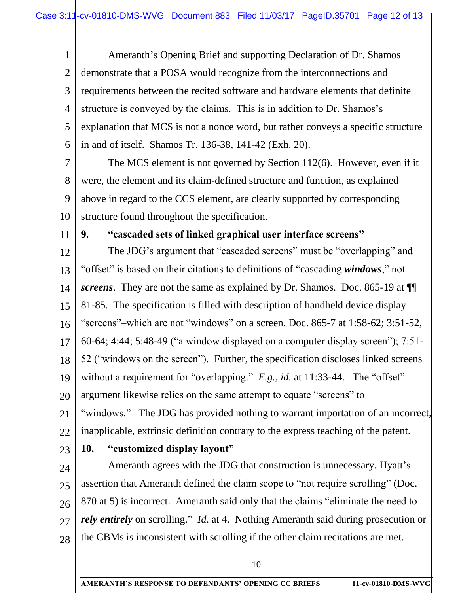1 2 3 4 5 6 Ameranth's Opening Brief and supporting Declaration of Dr. Shamos demonstrate that a POSA would recognize from the interconnections and requirements between the recited software and hardware elements that definite structure is conveyed by the claims. This is in addition to Dr. Shamos's explanation that MCS is not a nonce word, but rather conveys a specific structure in and of itself. Shamos Tr. 136-38, 141-42 (Exh. 20).

7 8 9 10 The MCS element is not governed by Section 112(6). However, even if it were, the element and its claim-defined structure and function, as explained above in regard to the CCS element, are clearly supported by corresponding structure found throughout the specification.

11

## **9. "cascaded sets of linked graphical user interface screens"**

12 13 14 15 16 17 18 19 20 21 22 23 24 The JDG's argument that "cascaded screens" must be "overlapping" and "offset" is based on their citations to definitions of "cascading *windows*," not *screens*. They are not the same as explained by Dr. Shamos. Doc. 865-19 at ¶¶ 81-85. The specification is filled with description of handheld device display "screens"–which are not "windows" on a screen. Doc. 865-7 at 1:58-62; 3:51-52, 60-64; 4:44; 5:48-49 ("a window displayed on a computer display screen"); 7:51- 52 ("windows on the screen"). Further, the specification discloses linked screens without a requirement for "overlapping." *E.g., id.* at 11:33-44. The "offset" argument likewise relies on the same attempt to equate "screens" to "windows." The JDG has provided nothing to warrant importation of an incorrect, inapplicable, extrinsic definition contrary to the express teaching of the patent. **10. "customized display layout"** Ameranth agrees with the JDG that construction is unnecessary. Hyatt's

25 26 27 28 assertion that Ameranth defined the claim scope to "not require scrolling" (Doc. 870 at 5) is incorrect. Ameranth said only that the claims "eliminate the need to *rely entirely* on scrolling." *Id.* at 4. Nothing Ameranth said during prosecution or the CBMs is inconsistent with scrolling if the other claim recitations are met.